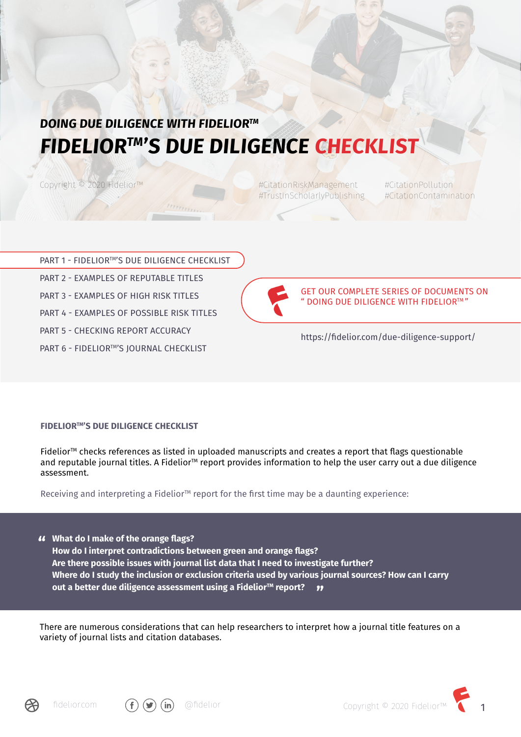# **DOING DUE DILIGENCE WITH FIDELIORTM FIDELIORTM'S DUE DILIGENCE CHECKLIST**

Copyright <sup>©</sup> 2020 Fidelior™

#CitationRiskManagement #CitationPollution #TrustInScholarlyPublishing #CitationContamination

| PART 1 - FIDELIOR™'S DUE DILIGENCE CHECKLIST |
|----------------------------------------------|
| PART 2 - EXAMPLES OF REPUTABLE TITLES        |
| PART 3 - EXAMPLES OF HIGH RISK TITLES        |
| PART 4 - EXAMPLES OF POSSIBLE RISK TITLES    |
| PART 5 - CHECKING REPORT ACCURACY            |
| PART 6 - FIDELIOR™'S JOURNAL CHECKLIST       |



GET OUR COMPLETE SERIES OF DOCUMENTS ON " DOING DUE DILIGENCE WITH FIDELIORTM "

https://fidelior.com/due-diligence-support/

#### **FIDELIOR™'S DUE DILIGENCE CHECKLIST**

Fidelior<sup> $M$ </sup> checks references as listed in uploaded manuscripts and creates a report that flags questionable and reputable journal titles. A Fidelior<sup>TM</sup> report provides information to help the user carry out a due diligence assessment.

Receiving and interpreting a Fidelior<sup>™</sup> report for the first time may be a daunting experience:

**What do I make of the orange flags? " How do I interpret contradictions between green and orange flags? Are there possible issues with journal list data that I need to investigate further? Where do I study the inclusion or exclusion criteria used by various journal sources? How can I carry out a better due diligence assessment using a Fidelior™ report? "**

There are numerous considerations that can help researchers to interpret how a journal title features on a variety of journal lists and citation databases.





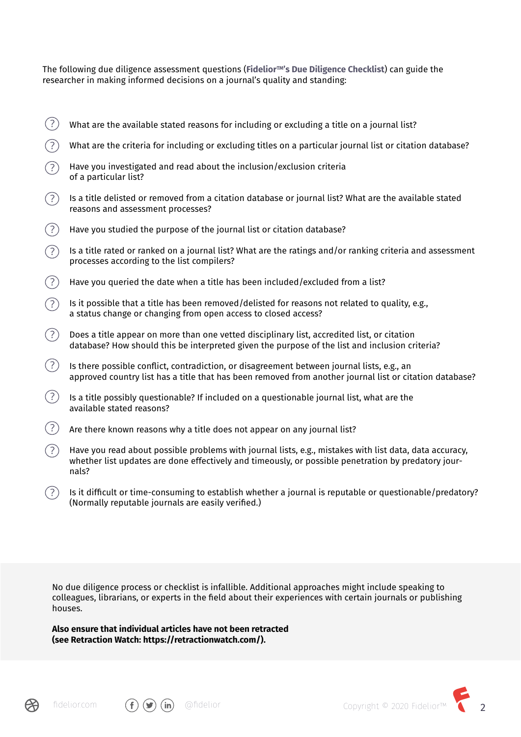The following due diligence assessment questions (**FideliorTM's Due Diligence Checklist**) can guide the researcher in making informed decisions on a journal's quality and standing:

- $(?)$ What are the available stated reasons for including or excluding a title on a journal list?
- What are the criteria for including or excluding titles on a particular journal list or citation database?
- $(2)$ Have you investigated and read about the inclusion/exclusion criteria of a particular list?
- $(?)$ Is a title delisted or removed from a citation database or journal list? What are the available stated reasons and assessment processes?
- $(?)$ Have you studied the purpose of the journal list or citation database?
- $(?)$ Is a title rated or ranked on a journal list? What are the ratings and/or ranking criteria and assessment processes according to the list compilers?
- $(?)$ Have you queried the date when a title has been included/excluded from a list?
- $(2)$ Is it possible that a title has been removed/delisted for reasons not related to quality, e.g., a status change or changing from open access to closed access?
- $(?)$ Does a title appear on more than one vetted disciplinary list, accredited list, or citation database? How should this be interpreted given the purpose of the list and inclusion criteria?
- $(?)$ Is there possible conflict, contradiction, or disagreement between journal lists, e.g., an approved country list has a title that has been removed from another journal list or citation database?
- $(?)$ Is a title possibly questionable? If included on a questionable journal list, what are the available stated reasons?
- $(?)$ Are there known reasons why a title does not appear on any journal list?
- $(?)$ Have you read about possible problems with journal lists, e.g., mistakes with list data, data accuracy, whether list updates are done effectively and timeously, or possible penetration by predatory journals?
- $\Gamma(\bar{P})$  Is it difficult or time-consuming to establish whether a journal is reputable or questionable/predatory? (Normally reputable journals are easily verified.)

No due diligence process or checklist is infallible. Additional approaches might include speaking to colleagues, librarians, or experts in the field about their experiences with certain journals or publishing houses.

**Also ensure that individual articles have not been retracted (see Retraction Watch: https://retractionwatch.com/).**





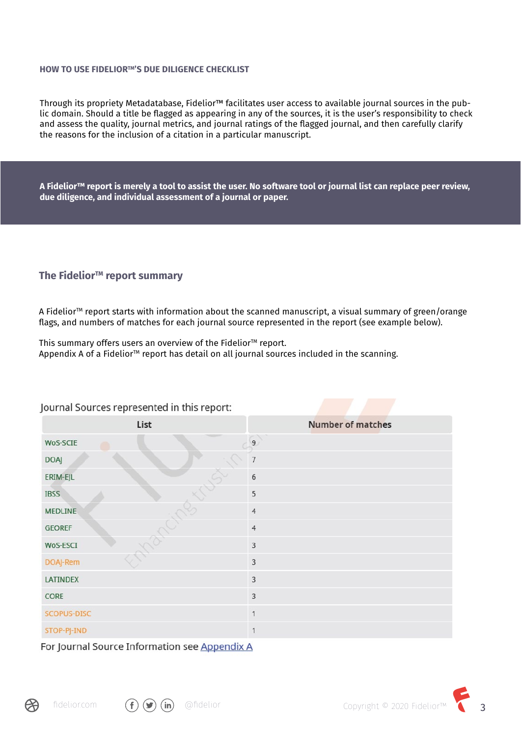#### **HOW TO USE FIDELIOR™'S DUE DILIGENCE CHECKLIST**

Through its propriety Metadatabase, Fidelior™ facilitates user access to available journal sources in the public domain. Should a title be flagged as appearing in any of the sources, it is the user's responsibility to check and assess the quality, journal metrics, and journal ratings of the flagged journal, and then carefully clarify the reasons for the inclusion of a citation in a particular manuscript.

**A Fidelior™ report is merely a tool to assist the user. No software tool or journal list can replace peer review, due diligence, and individual assessment of a journal or paper.**

#### The Fidelior<sup>™</sup> report summary

A Fidelior<sup>™</sup> report starts with information about the scanned manuscript, a visual summary of green/orange flags, and numbers of matches for each journal source represented in the report (see example below).

This summary offers users an overview of the Fidelior<sup>™</sup> report. Appendix A of a Fidelior™ report has detail on all journal sources included in the scanning.

| List            | <b>Number of matches</b> |
|-----------------|--------------------------|
| WoS-SCIE<br>e   | 9 <sup>1</sup>           |
| <b>DOAJ</b>     | $\overline{7}$           |
| ERIM-EJL        | $6\,$                    |
| <b>IBSS</b>     | 5                        |
| <b>MEDLINE</b>  | $\overline{4}$           |
| <b>GEOREF</b>   | $\overline{4}$           |
| WoS-ESCI        | $\mathsf 3$              |
| DOAJ-Rem        | $\overline{3}$           |
| <b>LATINDEX</b> | $\overline{3}$           |
| CORE            | $\overline{3}$           |
| SCOPUS-DISC     | $\mathbf{1}$             |
| STOP-PJ-IND     | $\mathbf{1}$             |

Journal Sources represented in this report:

For Journal Source Information see Appendix A